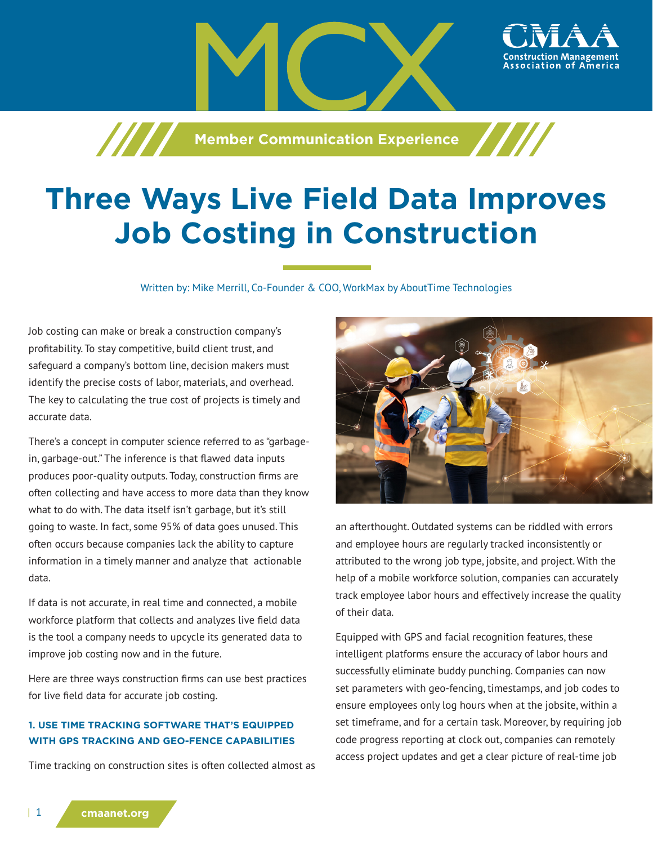**Member Communication Experience**

# **Three Ways Live Field Data Improves Job Costing in Construction**

Written by: Mike Merrill, Co-Founder & COO, WorkMax by AboutTime Technologies

Job costing can make or break a construction company's profitability. To stay competitive, build client trust, and safeguard a company's bottom line, decision makers must identify the precise costs of labor, materials, and overhead. The key to calculating the true cost of projects is timely and accurate data.

**TITTE** 

There's a concept in computer science referred to as "garbagein, garbage-out." The inference is that flawed data inputs produces poor-quality outputs. Today, construction firms are often collecting and have access to more data than they know what to do with. The data itself isn't garbage, but it's still going to waste. In fact, some 95% of data goes unused. This often occurs because companies lack the ability to capture information in a timely manner and analyze that actionable data.

If data is not accurate, in real time and connected, a mobile workforce platform that collects and analyzes live field data is the tool a company needs to upcycle its generated data to improve job costing now and in the future.

Here are three ways construction firms can use best practices for live field data for accurate job costing.

## **1. USE TIME TRACKING SOFTWARE THAT'S EQUIPPED WITH GPS TRACKING AND GEO-FENCE CAPABILITIES**

Time tracking on construction sites is often collected almost as



ssociation of

an afterthought. Outdated systems can be riddled with errors and employee hours are regularly tracked inconsistently or attributed to the wrong job type, jobsite, and project. With the help of a mobile workforce solution, companies can accurately track employee labor hours and effectively increase the quality of their data.

Equipped with GPS and facial recognition features, these intelligent platforms ensure the accuracy of labor hours and successfully eliminate buddy punching. Companies can now set parameters with geo-fencing, timestamps, and job codes to ensure employees only log hours when at the jobsite, within a set timeframe, and for a certain task. Moreover, by requiring job code progress reporting at clock out, companies can remotely access project updates and get a clear picture of real-time job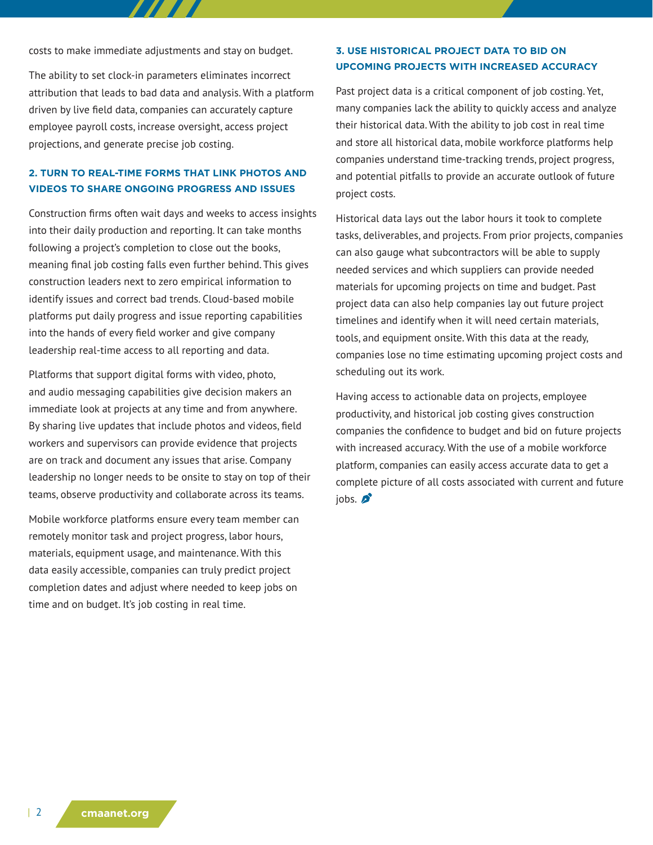costs to make immediate adjustments and stay on budget.

The ability to set clock-in parameters eliminates incorrect attribution that leads to bad data and analysis. With a platform driven by live field data, companies can accurately capture employee payroll costs, increase oversight, access project projections, and generate precise job costing.

## **2. TURN TO REAL-TIME FORMS THAT LINK PHOTOS AND VIDEOS TO SHARE ONGOING PROGRESS AND ISSUES**

Construction firms often wait days and weeks to access insights into their daily production and reporting. It can take months following a project's completion to close out the books, meaning final job costing falls even further behind. This gives construction leaders next to zero empirical information to identify issues and correct bad trends. Cloud-based mobile platforms put daily progress and issue reporting capabilities into the hands of every field worker and give company leadership real-time access to all reporting and data.

Platforms that support digital forms with video, photo, and audio messaging capabilities give decision makers an immediate look at projects at any time and from anywhere. By sharing live updates that include photos and videos, field workers and supervisors can provide evidence that projects are on track and document any issues that arise. Company leadership no longer needs to be onsite to stay on top of their teams, observe productivity and collaborate across its teams.

Mobile workforce platforms ensure every team member can remotely monitor task and project progress, labor hours, materials, equipment usage, and maintenance. With this data easily accessible, companies can truly predict project completion dates and adjust where needed to keep jobs on time and on budget. It's job costing in real time.

#### **3. USE HISTORICAL PROJECT DATA TO BID ON UPCOMING PROJECTS WITH INCREASED ACCURACY**

Past project data is a critical component of job costing. Yet, many companies lack the ability to quickly access and analyze their historical data. With the ability to job cost in real time and store all historical data, mobile workforce platforms help companies understand time-tracking trends, project progress, and potential pitfalls to provide an accurate outlook of future project costs.

Historical data lays out the labor hours it took to complete tasks, deliverables, and projects. From prior projects, companies can also gauge what subcontractors will be able to supply needed services and which suppliers can provide needed materials for upcoming projects on time and budget. Past project data can also help companies lay out future project timelines and identify when it will need certain materials, tools, and equipment onsite. With this data at the ready, companies lose no time estimating upcoming project costs and scheduling out its work.

Having access to actionable data on projects, employee productivity, and historical job costing gives construction companies the confidence to budget and bid on future projects with increased accuracy. With the use of a mobile workforce platform, companies can easily access accurate data to get a complete picture of all costs associated with current and future  $i$ <sub>obs</sub>.  $\beta$ <sup>2</sup>